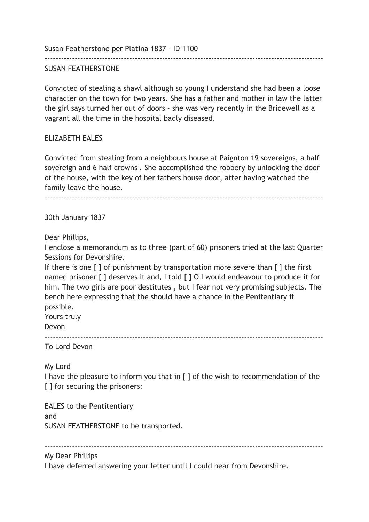Susan Featherstone per Platina 1837 - ID 1100

## SUSAN FEATHERSTONE

------------------------------------------------------------------------------------------------------

Convicted of stealing a shawl although so young I understand she had been a loose character on the town for two years. She has a father and mother in law the latter the girl says turned her out of doors - she was very recently in the Bridewell as a vagrant all the time in the hospital badly diseased.

## ELIZABETH EALES

Convicted from stealing from a neighbours house at Paignton 19 sovereigns, a half sovereign and 6 half crowns . She accomplished the robbery by unlocking the door of the house, with the key of her fathers house door, after having watched the family leave the house.

------------------------------------------------------------------------------------------------------

30th January 1837

Dear Phillips,

I enclose a memorandum as to three (part of 60) prisoners tried at the last Quarter Sessions for Devonshire.

If there is one [ ] of punishment by transportation more severe than [ ] the first named prisoner [ ] deserves it and, I told [ ] O I would endeavour to produce it for him. The two girls are poor destitutes , but I fear not very promising subjects. The bench here expressing that the should have a chance in the Penitentiary if possible.

Yours truly

Devon

------------------------------------------------------------------------------------------------------

To Lord Devon

My Lord

I have the pleasure to inform you that in [ ] of the wish to recommendation of the [] for securing the prisoners:

EALES to the Pentitentiary and SUSAN FEATHERSTONE to be transported.

------------------------------------------------------------------------------------------------------

My Dear Phillips

I have deferred answering your letter until I could hear from Devonshire.